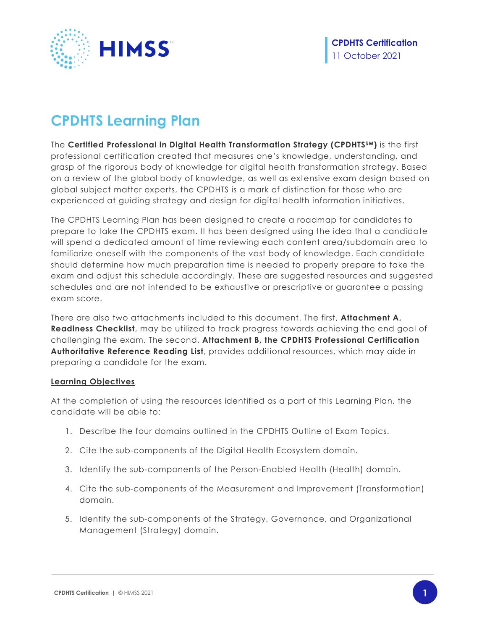

# **CPDHTS Learning Plan**

The **Certified Professional in Digital Health Transformation Strategy (CPDHTSSM)** is the first professional certification created that measures one's knowledge, understanding, and grasp of the rigorous body of knowledge for digital health transformation strategy. Based on a review of the global body of knowledge, as well as extensive exam design based on global subject matter experts, the CPDHTS is a mark of distinction for those who are experienced at guiding strategy and design for digital health information initiatives.

The CPDHTS Learning Plan has been designed to create a roadmap for candidates to prepare to take the CPDHTS exam. It has been designed using the idea that a candidate will spend a dedicated amount of time reviewing each content area/subdomain area to familiarize oneself with the components of the vast body of knowledge. Each candidate should determine how much preparation time is needed to properly prepare to take the exam and adjust this schedule accordingly. These are suggested resources and suggested schedules and are not intended to be exhaustive or prescriptive or guarantee a passing exam score.

There are also two attachments included to this document. The first, **Attachment A, Readiness Checklist**, may be utilized to track progress towards achieving the end goal of challenging the exam. The second, **Attachment B, the CPDHTS Professional Certification Authoritative Reference Reading List**, provides additional resources, which may aide in preparing a candidate for the exam.

#### **Learning Objectives**

At the completion of using the resources identified as a part of this Learning Plan, the candidate will be able to:

- 1. Describe the four domains outlined in the CPDHTS Outline of Exam Topics.
- 2. Cite the sub-components of the Digital Health Ecosystem domain.
- 3. Identify the sub-components of the Person-Enabled Health (Health) domain.
- 4. Cite the sub-components of the Measurement and Improvement (Transformation) domain.
- 5. Identify the sub-components of the Strategy, Governance, and Organizational Management (Strategy) domain.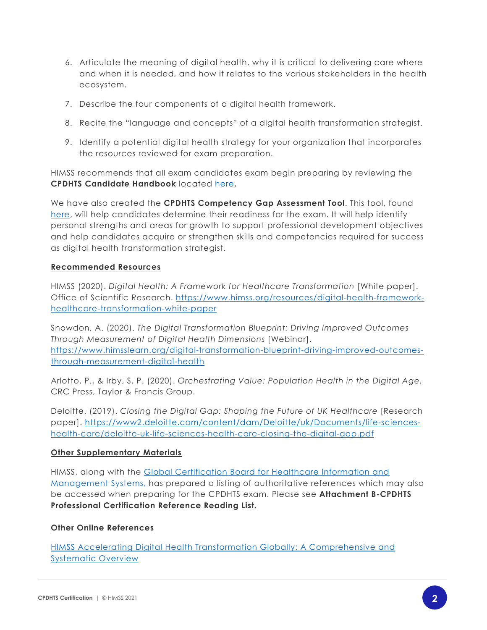- 6. Articulate the meaning of digital health, why it is critical to delivering care where and when it is needed, and how it relates to the various stakeholders in the health ecosystem.
- 7. Describe the four components of a digital health framework.
- 8. Recite the "language and concepts" of a digital health transformation strategist.
- 9. Identify a potential digital health strategy for your organization that incorporates the resources reviewed for exam preparation.

HIMSS recommends that all exam candidates exam begin preparing by reviewing the **CPDHTS Candidate Handbook** located [here](https://www.himss.org/resources-certification/cpdhts-candidate-handbook)**.**

We have also created the **CPDHTS Competency Gap Assessment Tool**. This tool, found [here,](https://www.himss.org/resources-certification/cpdhts-competency-gap-assessment) will help candidates determine their readiness for the exam. It will help identify personal strengths and areas for growth to support professional development objectives and help candidates acquire or strengthen skills and competencies required for success as digital health transformation strategist.

### **Recommended Resources**

HIMSS (2020). *Digital Health: A Framework for Healthcare Transformation* [White paper]. Office of Scientific Research. [https://www.himss.org/resources/digital-health-framework](https://www.himss.org/resources/digital-health-framework-healthcare-transformation-white-paper)[healthcare-transformation-white-paper](https://www.himss.org/resources/digital-health-framework-healthcare-transformation-white-paper)

Snowdon, A. (2020). *The Digital Transformation Blueprint: Driving Improved Outcomes Through Measurement of Digital Health Dimensions* [Webinar]. [https://www.himsslearn.org/digital-transformation-blueprint-driving-improved-outcomes](https://www.himsslearn.org/digital-transformation-blueprint-driving-improved-outcomes-through-measurement-digital-health)[through-measurement-digital-health](https://www.himsslearn.org/digital-transformation-blueprint-driving-improved-outcomes-through-measurement-digital-health)

Arlotto, P., & Irby, S. P. (2020). *Orchestrating Value: Population Health in the Digital Age.*  CRC Press, Taylor & Francis Group.

Deloitte. (2019). *Closing the Digital Gap: Shaping the Future of UK Healthcare* [Research paper]. [https://www2.deloitte.com/content/dam/Deloitte/uk/Documents/life-sciences](https://www2.deloitte.com/content/dam/Deloitte/uk/Documents/life-sciences-health-care/deloitte-uk-life-sciences-health-care-closing-the-digital-gap.pdf)[health-care/deloitte-uk-life-sciences-health-care-closing-the-digital-gap.pdf](https://www2.deloitte.com/content/dam/Deloitte/uk/Documents/life-sciences-health-care/deloitte-uk-life-sciences-health-care-closing-the-digital-gap.pdf)

### **Other Supplementary Materials**

HIMSS, along with the [Global Certification Board for Healthcare Information and](https://www.himss.org/global-certification-board-healthcare-information-and-management-systems-gcb4hit) [Management Systems,](https://www.himss.org/global-certification-board-healthcare-information-and-management-systems-gcb4hit) has prepared a listing of authoritative references which may also be accessed when preparing for the CPDHTS exam. Please see **Attachment B-CPDHTS Professional Certification Reference Reading List.** 

### **Other Online References**

[HIMSS Accelerating Digital Health Transformation Globally: A Comprehensive and](https://www.himss.org/events/digital-health-transformation-course)  [Systematic Overview](https://www.himss.org/events/digital-health-transformation-course)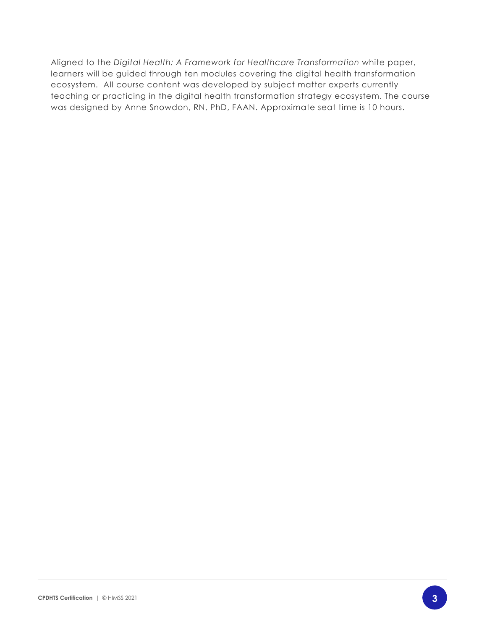Aligned to the *Digital Health: A Framework for Healthcare Transformation* white paper, learners will be guided through ten modules covering the digital health transformation ecosystem. All course content was developed by subject matter experts currently teaching or practicing in the digital health transformation strategy ecosystem. The course was designed by Anne Snowdon, RN, PhD, FAAN. Approximate seat time is 10 hours.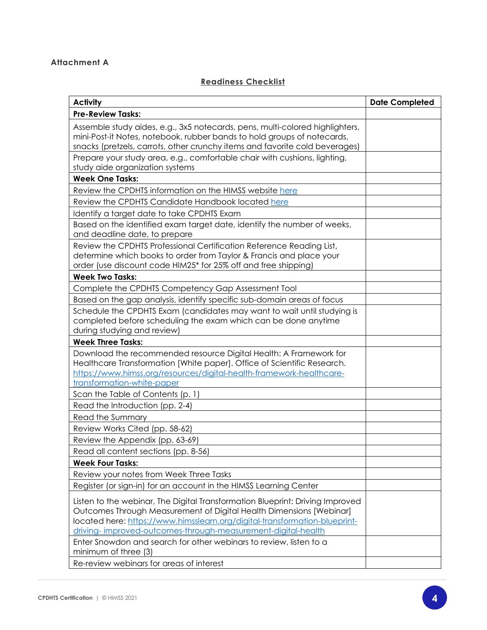## **Attachment A**

## **Readiness Checklist**

| <b>Activity</b>                                                                                                                                                                                                                                                                                    | <b>Date Completed</b> |
|----------------------------------------------------------------------------------------------------------------------------------------------------------------------------------------------------------------------------------------------------------------------------------------------------|-----------------------|
| <b>Pre-Review Tasks:</b>                                                                                                                                                                                                                                                                           |                       |
| Assemble study aides, e.g., 3x5 notecards, pens, multi-colored highlighters,<br>mini-Post-it Notes, notebook, rubber bands to hold groups of notecards,<br>snacks (pretzels, carrots, other crunchy items and favorite cold beverages)                                                             |                       |
| Prepare your study area, e.g., comfortable chair with cushions, lighting,<br>study aide organization systems                                                                                                                                                                                       |                       |
| <b>Week One Tasks:</b>                                                                                                                                                                                                                                                                             |                       |
| Review the CPDHTS information on the HIMSS website here                                                                                                                                                                                                                                            |                       |
| Review the CPDHTS Candidate Handbook located here                                                                                                                                                                                                                                                  |                       |
| Identify a target date to take CPDHTS Exam                                                                                                                                                                                                                                                         |                       |
| Based on the identified exam target date, identify the number of weeks,<br>and deadline date, to prepare                                                                                                                                                                                           |                       |
| Review the CPDHTS Professional Certification Reference Reading List,<br>determine which books to order from Taylor & Francis and place your<br>order (use discount code HIM25* for 25% off and free shipping)                                                                                      |                       |
| <b>Week Two Tasks:</b>                                                                                                                                                                                                                                                                             |                       |
| Complete the CPDHTS Competency Gap Assessment Tool                                                                                                                                                                                                                                                 |                       |
| Based on the gap analysis, identify specific sub-domain areas of focus                                                                                                                                                                                                                             |                       |
| Schedule the CPDHTS Exam (candidates may want to wait until studying is<br>completed before scheduling the exam which can be done anytime<br>during studying and review)                                                                                                                           |                       |
| <b>Week Three Tasks:</b>                                                                                                                                                                                                                                                                           |                       |
| Download the recommended resource Digital Health: A Framework for<br>Healthcare Transformation [White paper]. Office of Scientific Research.<br>https://www.himss.org/resources/digital-health-framework-healthcare-<br>transformation-white-paper                                                 |                       |
| Scan the Table of Contents (p. 1)                                                                                                                                                                                                                                                                  |                       |
| Read the Introduction (pp. 2-4)                                                                                                                                                                                                                                                                    |                       |
| Read the Summary                                                                                                                                                                                                                                                                                   |                       |
| Review Works Cited (pp. 58-62)                                                                                                                                                                                                                                                                     |                       |
| Review the Appendix (pp. 63-69)                                                                                                                                                                                                                                                                    |                       |
| Read all content sections (pp. 8-56)                                                                                                                                                                                                                                                               |                       |
| <b>Week Four Tasks:</b>                                                                                                                                                                                                                                                                            |                       |
| Review your notes from Week Three Tasks                                                                                                                                                                                                                                                            |                       |
| Register (or sign-in) for an account in the HIMSS Learning Center                                                                                                                                                                                                                                  |                       |
| Listen to the webinar, The Digital Transformation Blueprint: Driving Improved<br>Outcomes Through Measurement of Digital Health Dimensions [Webinar]<br>located here: https://www.himsslearn.org/digital-transformation-blueprint-<br>driving-improved-outcomes-through-measurement-digital-health |                       |
| Enter Snowdon and search for other webinars to review, listen to a<br>minimum of three (3)                                                                                                                                                                                                         |                       |
| Re-review webinars for areas of interest                                                                                                                                                                                                                                                           |                       |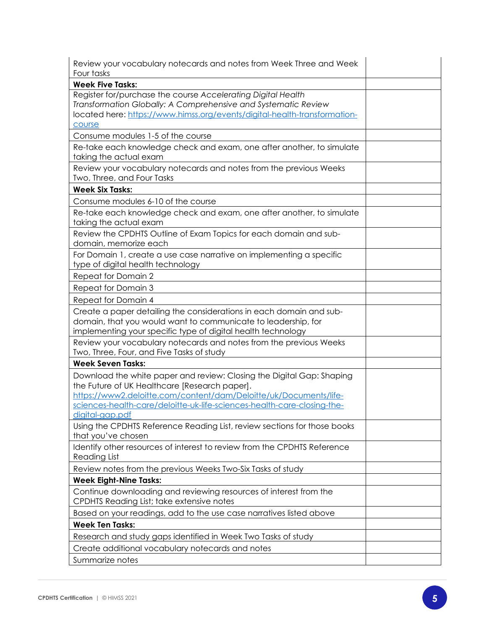| Review your vocabulary notecards and notes from Week Three and Week<br>Four tasks                                                                                                                                                                                      |  |
|------------------------------------------------------------------------------------------------------------------------------------------------------------------------------------------------------------------------------------------------------------------------|--|
| <b>Week Five Tasks:</b>                                                                                                                                                                                                                                                |  |
| Register for/purchase the course Accelerating Digital Health<br>Transformation Globally: A Comprehensive and Systematic Review<br>located here: https://www.himss.org/events/digital-health-transformation-<br>course                                                  |  |
| Consume modules 1-5 of the course                                                                                                                                                                                                                                      |  |
| Re-take each knowledge check and exam, one after another, to simulate<br>taking the actual exam                                                                                                                                                                        |  |
| Review your vocabulary notecards and notes from the previous Weeks<br>Two, Three, and Four Tasks                                                                                                                                                                       |  |
| <b>Week Six Tasks:</b>                                                                                                                                                                                                                                                 |  |
| Consume modules 6-10 of the course                                                                                                                                                                                                                                     |  |
| Re-take each knowledge check and exam, one after another, to simulate<br>taking the actual exam                                                                                                                                                                        |  |
| Review the CPDHTS Outline of Exam Topics for each domain and sub-<br>domain, memorize each                                                                                                                                                                             |  |
| For Domain 1, create a use case narrative on implementing a specific<br>type of digital health technology                                                                                                                                                              |  |
| Repeat for Domain 2                                                                                                                                                                                                                                                    |  |
| Repeat for Domain 3                                                                                                                                                                                                                                                    |  |
| Repeat for Domain 4                                                                                                                                                                                                                                                    |  |
| Create a paper detailing the considerations in each domain and sub-<br>domain, that you would want to communicate to leadership, for<br>implementing your specific type of digital health technology                                                                   |  |
| Review your vocabulary notecards and notes from the previous Weeks<br>Two, Three, Four, and Five Tasks of study                                                                                                                                                        |  |
| <b>Week Seven Tasks:</b>                                                                                                                                                                                                                                               |  |
| Download the white paper and review: Closing the Digital Gap: Shaping<br>the Future of UK Healthcare [Research paper].<br>https://www2.deloitte.com/content/dam/Deloitte/uk/Documents/life-<br>sciences-health-care/deloitte-uk-life-sciences-health-care-closing-the- |  |
| <u>digital-gap.pdt</u><br>Using the CPDHTS Reference Reading List, review sections for those books<br>that you've chosen                                                                                                                                               |  |
| Identify other resources of interest to review from the CPDHTS Reference<br><b>Reading List</b>                                                                                                                                                                        |  |
| Review notes from the previous Weeks Two-Six Tasks of study                                                                                                                                                                                                            |  |
| <b>Week Eight-Nine Tasks:</b>                                                                                                                                                                                                                                          |  |
| Continue downloading and reviewing resources of interest from the<br>CPDHTS Reading List; take extensive notes                                                                                                                                                         |  |
| Based on your readings, add to the use case narratives listed above                                                                                                                                                                                                    |  |
| <b>Week Ten Tasks:</b>                                                                                                                                                                                                                                                 |  |
| Research and study gaps identified in Week Two Tasks of study                                                                                                                                                                                                          |  |
| Create additional vocabulary notecards and notes                                                                                                                                                                                                                       |  |
| Summarize notes                                                                                                                                                                                                                                                        |  |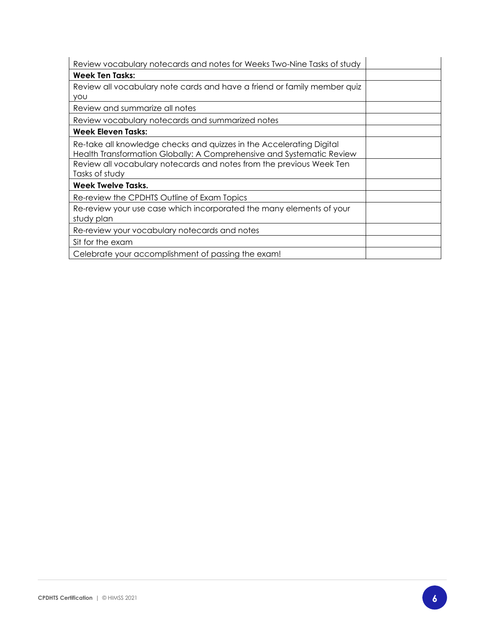| Review vocabulary notecards and notes for Weeks Two-Nine Tasks of study                                                                       |  |
|-----------------------------------------------------------------------------------------------------------------------------------------------|--|
| <b>Week Ten Tasks:</b>                                                                                                                        |  |
| Review all vocabulary note cards and have a friend or family member quized                                                                    |  |
| <b>YOU</b>                                                                                                                                    |  |
| Review and summarize all notes                                                                                                                |  |
| Review vocabulary notecards and summarized notes                                                                                              |  |
| <b>Week Eleven Tasks:</b>                                                                                                                     |  |
| Re-take all knowledge checks and quizzes in the Accelerating Digital<br>Health Transformation Globally: A Comprehensive and Systematic Review |  |
| Review all vocabulary notecards and notes from the previous Week Ten<br>Tasks of study                                                        |  |
| Week Twelve Tasks.                                                                                                                            |  |
| Re-review the CPDHTS Outline of Exam Topics                                                                                                   |  |
| Re-review your use case which incorporated the many elements of your<br>study plan                                                            |  |
| Re-review your vocabulary notecards and notes                                                                                                 |  |
| Sit for the exam                                                                                                                              |  |
| Celebrate your accomplishment of passing the exam!                                                                                            |  |